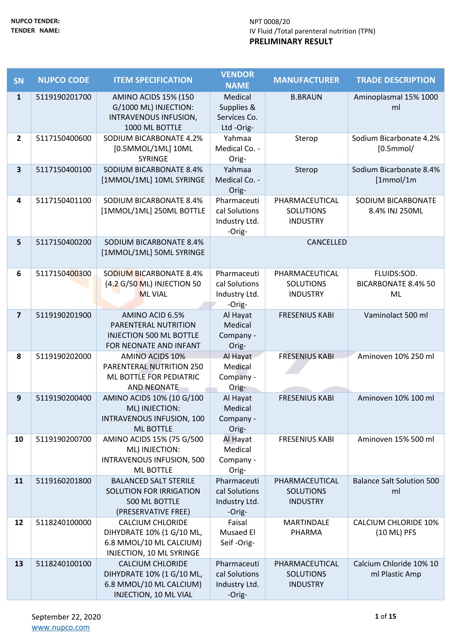| <b>SN</b>               | <b>NUPCO CODE</b> | <b>ITEM SPECIFICATION</b>                                                                                   | <b>VENDOR</b><br><b>NAME</b>                            | <b>MANUFACTURER</b>                                   | <b>TRADE DESCRIPTION</b>                        |
|-------------------------|-------------------|-------------------------------------------------------------------------------------------------------------|---------------------------------------------------------|-------------------------------------------------------|-------------------------------------------------|
| $\mathbf{1}$            | 5119190201700     | <b>AMINO ACIDS 15% (150</b><br>G/1000 ML) INJECTION:<br>INTRAVENOUS INFUSION,<br>1000 ML BOTTLE             | Medical<br>Supplies &<br>Services Co.<br>Ltd-Orig-      | <b>B.BRAUN</b>                                        | Aminoplasmal 15% 1000<br>ml                     |
| $\overline{2}$          | 5117150400600     | SODIUM BICARBONATE 4.2%<br>[0.5MMOL/1ML] 10ML<br><b>SYRINGE</b>                                             | Yahmaa<br>Medical Co. -<br>Orig-                        | Sterop                                                | Sodium Bicarbonate 4.2%<br>$[0.5$ mmol/         |
| $\overline{\mathbf{3}}$ | 5117150400100     | SODIUM BICARBONATE 8.4%<br>[1MMOL/1ML] 10ML SYRINGE                                                         | Yahmaa<br>Medical Co. -<br>Orig-                        | Sterop                                                | Sodium Bicarbonate 8.4%<br>[1mmol/1m]           |
| 4                       | 5117150401100     | SODIUM BICARBONATE 8.4%<br>[1MMOL/1ML] 250ML BOTTLE                                                         | Pharmaceuti<br>cal Solutions<br>Industry Ltd.<br>-Orig- | PHARMACEUTICAL<br><b>SOLUTIONS</b><br><b>INDUSTRY</b> | SODIUM BICARBONATE<br>8.4% INJ 250ML            |
| 5                       | 5117150400200     | <b>SODIUM BICARBONATE 8.4%</b><br>[1MMOL/1ML] 50ML SYRINGE                                                  |                                                         | CANCELLED                                             |                                                 |
| 6                       | 5117150400300     | <b>SODIUM BICARBONATE 8.4%</b><br>(4.2 G/50 ML) INJECTION 50<br><b>ML VIAL</b>                              | Pharmaceuti<br>cal Solutions<br>Industry Ltd.<br>-Orig- | PHARMACEUTICAL<br><b>SOLUTIONS</b><br><b>INDUSTRY</b> | FLUIDS:SOD.<br><b>BICARBONATE 8.4% 50</b><br>ML |
| $\overline{7}$          | 5119190201900     | AMINO ACID 6.5%<br>PARENTERAL NUTRITION<br><b>INJECTION 500 ML BOTTLE</b><br>FOR NEONATE AND INFANT         | Al Hayat<br>Medical<br>Company -<br>Orig-               | <b>FRESENIUS KABI</b>                                 | Vaminolact 500 ml                               |
| 8                       | 5119190202000     | AMINO ACIDS 10%<br>PARENTERAL NUTRITION 250<br>ML BOTTLE FOR PEDIATRIC<br><b>AND NEONATE</b>                | Al Hayat<br>Medical<br>Company -<br>Orig-               | <b>FRESENIUS KABI</b>                                 | Aminoven 10% 250 ml                             |
| 9                       | 5119190200400     | AMINO ACIDS 10% (10 G/100<br>ML) INJECTION:<br>INTRAVENOUS INFUSION, 100<br><b>ML BOTTLE</b>                | Al Hayat<br>Medical<br>Company -<br>Orig-               | <b>FRESENIUS KABI</b>                                 | Aminoven 10% 100 ml                             |
| 10                      | 5119190200700     | AMINO ACIDS 15% (75 G/500<br>ML) INJECTION:<br>INTRAVENOUS INFUSION, 500<br><b>ML BOTTLE</b>                | Al Hayat<br>Medical<br>Company -<br>Orig-               | <b>FRESENIUS KABI</b>                                 | Aminoven 15% 500 ml                             |
| 11                      | 5119160201800     | <b>BALANCED SALT STERILE</b><br>SOLUTION FOR IRRIGATION<br>500 ML BOTTLE<br>(PRESERVATIVE FREE)             | Pharmaceuti<br>cal Solutions<br>Industry Ltd.<br>-Orig- | PHARMACEUTICAL<br><b>SOLUTIONS</b><br><b>INDUSTRY</b> | <b>Balance Salt Solution 500</b><br>ml          |
| 12                      | 5118240100000     | <b>CALCIUM CHLORIDE</b><br>DIHYDRATE 10% (1 G/10 ML,<br>6.8 MMOL/10 ML CALCIUM)<br>INJECTION, 10 ML SYRINGE | Faisal<br>Musaed El<br>Seif-Orig-                       | <b>MARTINDALE</b><br>PHARMA                           | <b>CALCIUM CHLORIDE 10%</b><br>(10 ML) PFS      |
| 13                      | 5118240100100     | <b>CALCIUM CHLORIDE</b><br>DIHYDRATE 10% (1 G/10 ML,<br>6.8 MMOL/10 ML CALCIUM)<br>INJECTION, 10 ML VIAL    | Pharmaceuti<br>cal Solutions<br>Industry Ltd.<br>-Orig- | PHARMACEUTICAL<br><b>SOLUTIONS</b><br><b>INDUSTRY</b> | Calcium Chloride 10% 10<br>ml Plastic Amp       |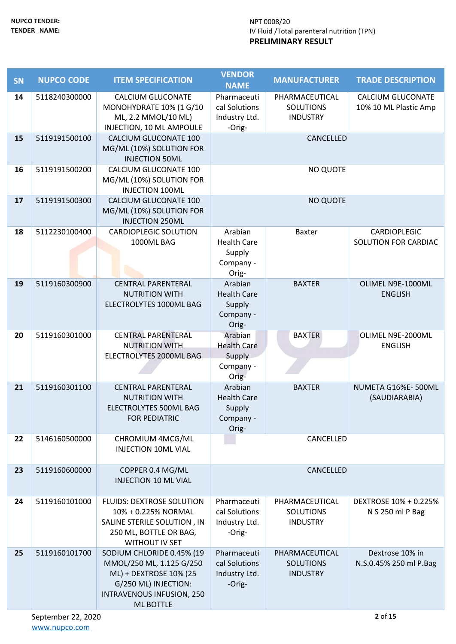| <b>SN</b> | <b>NUPCO CODE</b> | <b>ITEM SPECIFICATION</b>                                                                                                                                | <b>VENDOR</b><br><b>NAME</b>                                  | <b>MANUFACTURER</b>                                   | <b>TRADE DESCRIPTION</b>                          |
|-----------|-------------------|----------------------------------------------------------------------------------------------------------------------------------------------------------|---------------------------------------------------------------|-------------------------------------------------------|---------------------------------------------------|
| 14        | 5118240300000     | <b>CALCIUM GLUCONATE</b><br>MONOHYDRATE 10% (1 G/10<br>ML, 2.2 MMOL/10 ML)<br>INJECTION, 10 ML AMPOULE                                                   | Pharmaceuti<br>cal Solutions<br>Industry Ltd.<br>-Orig-       | PHARMACEUTICAL<br><b>SOLUTIONS</b><br><b>INDUSTRY</b> | <b>CALCIUM GLUCONATE</b><br>10% 10 ML Plastic Amp |
| 15        | 5119191500100     | CALCIUM GLUCONATE 100<br>MG/ML (10%) SOLUTION FOR<br><b>INJECTION 50ML</b>                                                                               |                                                               | CANCELLED                                             |                                                   |
| 16        | 5119191500200     | CALCIUM GLUCONATE 100<br>MG/ML (10%) SOLUTION FOR<br><b>INJECTION 100ML</b>                                                                              |                                                               | NO QUOTE                                              |                                                   |
| 17        | 5119191500300     | CALCIUM GLUCONATE 100<br>MG/ML (10%) SOLUTION FOR<br><b>INJECTION 250ML</b>                                                                              |                                                               | <b>NO QUOTE</b>                                       |                                                   |
| 18        | 5112230100400     | <b>CARDIOPLEGIC SOLUTION</b><br>1000ML BAG                                                                                                               | Arabian<br><b>Health Care</b><br>Supply<br>Company -<br>Orig- | <b>Baxter</b>                                         | <b>CARDIOPLEGIC</b><br>SOLUTION FOR CARDIAC       |
| 19        | 5119160300900     | <b>CENTRAL PARENTERAL</b><br><b>NUTRITION WITH</b><br>ELECTROLYTES 1000ML BAG                                                                            | Arabian<br><b>Health Care</b><br>Supply<br>Company -<br>Orig- | <b>BAXTER</b>                                         | OLIMEL N9E-1000ML<br><b>ENGLISH</b>               |
| 20        | 5119160301000     | <b>CENTRAL PARENTERAL</b><br><b>NUTRITION WITH</b><br>ELECTROLYTES 2000ML BAG                                                                            | Arabian<br><b>Health Care</b><br>Supply<br>Company -<br>Orig- | <b>BAXTER</b>                                         | OLIMEL N9E-2000ML<br><b>ENGLISH</b>               |
| 21        | 5119160301100     | <b>CENTRAL PARENTERAL</b><br><b>NUTRITION WITH</b><br>ELECTROLYTES 500ML BAG<br><b>FOR PEDIATRIC</b>                                                     | Arabian<br><b>Health Care</b><br>Supply<br>Company -<br>Orig- | <b>BAXTER</b>                                         | NUMETA G16%E-500ML<br>(SAUDIARABIA)               |
| 22        | 5146160500000     | CHROMIUM 4MCG/ML<br><b>INJECTION 10ML VIAL</b>                                                                                                           |                                                               | CANCELLED                                             |                                                   |
| 23        | 5119160600000     | COPPER 0.4 MG/ML<br><b>INJECTION 10 ML VIAL</b>                                                                                                          |                                                               | CANCELLED                                             |                                                   |
| 24        | 5119160101000     | <b>FLUIDS: DEXTROSE SOLUTION</b><br>10% + 0.225% NORMAL<br>SALINE STERILE SOLUTION, IN<br>250 ML, BOTTLE OR BAG,<br><b>WITHOUT IV SET</b>                | Pharmaceuti<br>cal Solutions<br>Industry Ltd.<br>-Orig-       | PHARMACEUTICAL<br><b>SOLUTIONS</b><br><b>INDUSTRY</b> | DEXTROSE 10% + 0.225%<br>N S 250 ml P Bag         |
| 25        | 5119160101700     | SODIUM CHLORIDE 0.45% (19<br>MMOL/250 ML, 1.125 G/250<br>ML) + DEXTROSE 10% (25<br>G/250 ML) INJECTION:<br>INTRAVENOUS INFUSION, 250<br><b>ML BOTTLE</b> | Pharmaceuti<br>cal Solutions<br>Industry Ltd.<br>-Orig-       | PHARMACEUTICAL<br><b>SOLUTIONS</b><br><b>INDUSTRY</b> | Dextrose 10% in<br>N.S.0.45% 250 ml P.Bag         |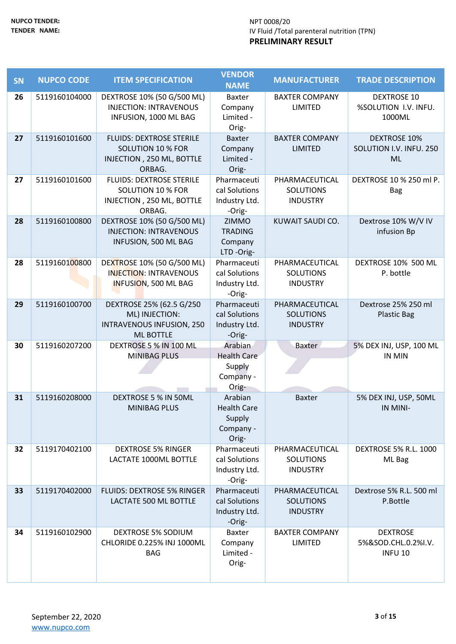| <b>SN</b> | <b>NUPCO CODE</b> | <b>ITEM SPECIFICATION</b>                                   | <b>VENDOR</b><br><b>NAME</b>   | <b>MANUFACTURER</b>                 | <b>TRADE DESCRIPTION</b>                  |
|-----------|-------------------|-------------------------------------------------------------|--------------------------------|-------------------------------------|-------------------------------------------|
| 26        | 5119160104000     | DEXTROSE 10% (50 G/500 ML)                                  | <b>Baxter</b>                  | <b>BAXTER COMPANY</b>               | <b>DEXTROSE 10</b>                        |
|           |                   | <b>INJECTION: INTRAVENOUS</b>                               | Company                        | LIMITED                             | %SOLUTION I.V. INFU.                      |
|           |                   | INFUSION, 1000 ML BAG                                       | Limited -<br>Orig-             |                                     | 1000ML                                    |
| 27        | 5119160101600     | <b>FLUIDS: DEXTROSE STERILE</b>                             | <b>Baxter</b>                  | <b>BAXTER COMPANY</b>               | <b>DEXTROSE 10%</b>                       |
|           |                   | <b>SOLUTION 10 % FOR</b><br>INJECTION, 250 ML, BOTTLE       | Company<br>Limited -           | <b>LIMITED</b>                      | SOLUTION I.V. INFU. 250<br><b>ML</b>      |
|           |                   | ORBAG.                                                      | Orig-                          |                                     |                                           |
| 27        | 5119160101600     | <b>FLUIDS: DEXTROSE STERILE</b>                             | Pharmaceuti                    | PHARMACEUTICAL                      | DEXTROSE 10 % 250 ml P.                   |
|           |                   | <b>SOLUTION 10 % FOR</b><br>INJECTION, 250 ML, BOTTLE       | cal Solutions<br>Industry Ltd. | <b>SOLUTIONS</b><br><b>INDUSTRY</b> | <b>Bag</b>                                |
|           |                   | ORBAG.                                                      | -Orig-                         |                                     |                                           |
| 28        | 5119160100800     | DEXTROSE 10% (50 G/500 ML)                                  | <b>ZIMMO</b>                   | KUWAIT SAUDI CO.                    | Dextrose 10% W/V IV                       |
|           |                   | <b>INJECTION: INTRAVENOUS</b><br>INFUSION, 500 ML BAG       | <b>TRADING</b><br>Company      |                                     | infusion Bp                               |
|           |                   |                                                             | LTD-Orig-                      |                                     |                                           |
| 28        | 5119160100800     | DEXTROSE 10% (50 G/500 ML)<br><b>INJECTION: INTRAVENOUS</b> | Pharmaceuti<br>cal Solutions   | PHARMACEUTICAL<br><b>SOLUTIONS</b>  | DEXTROSE 10% 500 ML<br>P. bottle          |
|           |                   | INFUSION, 500 ML BAG                                        | Industry Ltd.                  | <b>INDUSTRY</b>                     |                                           |
|           |                   |                                                             | -Orig-                         |                                     |                                           |
| 29        | 5119160100700     | DEXTROSE 25% (62.5 G/250<br>ML) INJECTION:                  | Pharmaceuti<br>cal Solutions   | PHARMACEUTICAL<br><b>SOLUTIONS</b>  | Dextrose 25% 250 ml<br><b>Plastic Bag</b> |
|           |                   | <b>INTRAVENOUS INFUSION, 250</b>                            | Industry Ltd.                  | <b>INDUSTRY</b>                     |                                           |
|           |                   | <b>ML BOTTLE</b>                                            | -Orig-                         |                                     |                                           |
| 30        | 5119160207200     | DEXTROSE 5 % IN 100 ML<br><b>MINIBAG PLUS</b>               | Arabian<br><b>Health Care</b>  | Baxter                              | 5% DEX INJ, USP, 100 ML<br>IN MIN         |
|           |                   |                                                             | Supply                         |                                     |                                           |
|           |                   |                                                             | Company -                      |                                     |                                           |
| 31        | 5119160208000     | DEXTROSE 5 % IN 50ML                                        | Orig-<br>Arabian               | <b>Baxter</b>                       | 5% DEX INJ, USP, 50ML                     |
|           |                   | <b>MINIBAG PLUS</b>                                         | <b>Health Care</b>             |                                     | IN MINI-                                  |
|           |                   |                                                             | Supply                         |                                     |                                           |
|           |                   |                                                             | Company -<br>Orig-             |                                     |                                           |
| 32        | 5119170402100     | <b>DEXTROSE 5% RINGER</b>                                   | Pharmaceuti                    | PHARMACEUTICAL                      | <b>DEXTROSE 5% R.L. 1000</b>              |
|           |                   | LACTATE 1000ML BOTTLE                                       | cal Solutions<br>Industry Ltd. | <b>SOLUTIONS</b><br><b>INDUSTRY</b> | ML Bag                                    |
|           |                   |                                                             | -Orig-                         |                                     |                                           |
| 33        | 5119170402000     | <b>FLUIDS: DEXTROSE 5% RINGER</b>                           | Pharmaceuti                    | PHARMACEUTICAL                      | Dextrose 5% R.L. 500 ml                   |
|           |                   | LACTATE 500 ML BOTTLE                                       | cal Solutions<br>Industry Ltd. | <b>SOLUTIONS</b><br><b>INDUSTRY</b> | P.Bottle                                  |
|           |                   |                                                             | -Orig-                         |                                     |                                           |
| 34        | 5119160102900     | <b>DEXTROSE 5% SODIUM</b><br>CHLORIDE 0.225% INJ 1000ML     | <b>Baxter</b><br>Company       | <b>BAXTER COMPANY</b><br>LIMITED    | <b>DEXTROSE</b><br>5%&SOD.CHL.0.2%I.V.    |
|           |                   | <b>BAG</b>                                                  | Limited -                      |                                     | <b>INFU 10</b>                            |
|           |                   |                                                             | Orig-                          |                                     |                                           |
|           |                   |                                                             |                                |                                     |                                           |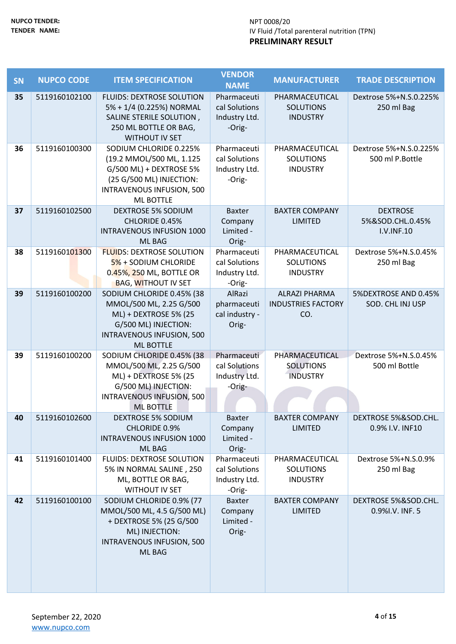| <b>SN</b> | <b>NUPCO CODE</b> | <b>ITEM SPECIFICATION</b>                                                                                                                                     | <b>VENDOR</b><br><b>NAME</b>                            | <b>MANUFACTURER</b>                                      | <b>TRADE DESCRIPTION</b>                          |
|-----------|-------------------|---------------------------------------------------------------------------------------------------------------------------------------------------------------|---------------------------------------------------------|----------------------------------------------------------|---------------------------------------------------|
| 35        | 5119160102100     | <b>FLUIDS: DEXTROSE SOLUTION</b><br>5% + 1/4 (0.225%) NORMAL<br>SALINE STERILE SOLUTION,<br>250 ML BOTTLE OR BAG,<br><b>WITHOUT IV SET</b>                    | Pharmaceuti<br>cal Solutions<br>Industry Ltd.<br>-Orig- | PHARMACEUTICAL<br><b>SOLUTIONS</b><br><b>INDUSTRY</b>    | Dextrose 5%+N.S.0.225%<br>250 ml Bag              |
| 36        | 5119160100300     | SODIUM CHLORIDE 0.225%<br>(19.2 MMOL/500 ML, 1.125<br>G/500 ML) + DEXTROSE 5%<br>(25 G/500 ML) INJECTION:<br>INTRAVENOUS INFUSION, 500<br><b>ML BOTTLE</b>    | Pharmaceuti<br>cal Solutions<br>Industry Ltd.<br>-Orig- | PHARMACEUTICAL<br><b>SOLUTIONS</b><br><b>INDUSTRY</b>    | Dextrose 5%+N.S.0.225%<br>500 ml P.Bottle         |
| 37        | 5119160102500     | <b>DEXTROSE 5% SODIUM</b><br>CHLORIDE 0.45%<br><b>INTRAVENOUS INFUSION 1000</b><br>ML BAG                                                                     | <b>Baxter</b><br>Company<br>Limited -<br>Orig-          | <b>BAXTER COMPANY</b><br><b>LIMITED</b>                  | <b>DEXTROSE</b><br>5%&SOD.CHL.0.45%<br>I.V.INF.10 |
| 38        | 5119160101300     | <b>FLUIDS: DEXTROSE SOLUTION</b><br>5% + SODIUM CHLORIDE<br>0.45%, 250 ML, BOTTLE OR<br><b>BAG, WITHOUT IV SET</b>                                            | Pharmaceuti<br>cal Solutions<br>Industry Ltd.<br>-Orig- | PHARMACEUTICAL<br><b>SOLUTIONS</b><br><b>INDUSTRY</b>    | Dextrose 5%+N.S.0.45%<br>250 ml Bag               |
| 39        | 5119160100200     | SODIUM CHLORIDE 0.45% (38<br>MMOL/500 ML, 2.25 G/500<br>ML) + DEXTROSE 5% (25<br>G/500 ML) INJECTION:<br><b>INTRAVENOUS INFUSION, 500</b><br><b>ML BOTTLE</b> | AlRazi<br>pharmaceuti<br>cal industry -<br>Orig-        | <b>ALRAZI PHARMA</b><br><b>INDUSTRIES FACTORY</b><br>CO. | 5%DEXTROSE AND 0.45%<br>SOD. CHL INJ USP          |
| 39        | 5119160100200     | SODIUM CHLORIDE 0.45% (38<br>MMOL/500 ML, 2.25 G/500<br>ML) + DEXTROSE 5% (25<br>G/500 ML) INJECTION:<br>INTRAVENOUS INFUSION, 500<br><b>ML BOTTLE</b>        | Pharmaceuti<br>cal Solutions<br>Industry Ltd.<br>-Orig- | PHARMACEUTICAL<br><b>SOLUTIONS</b><br><b>INDUSTRY</b>    | Dextrose 5%+N.S.0.45%<br>500 ml Bottle            |
| 40        | 5119160102600     | <b>DEXTROSE 5% SODIUM</b><br>CHLORIDE 0.9%<br><b>INTRAVENOUS INFUSION 1000</b><br>ML BAG                                                                      | <b>Baxter</b><br>Company<br>Limited -<br>Orig-          | <b>BAXTER COMPANY</b><br><b>LIMITED</b>                  | DEXTROSE 5%&SOD.CHL.<br>0.9% I.V. INF10           |
| 41        | 5119160101400     | FLUIDS: DEXTROSE SOLUTION<br>5% IN NORMAL SALINE, 250<br>ML, BOTTLE OR BAG,<br>WITHOUT IV SET                                                                 | Pharmaceuti<br>cal Solutions<br>Industry Ltd.<br>-Orig- | PHARMACEUTICAL<br><b>SOLUTIONS</b><br><b>INDUSTRY</b>    | Dextrose 5%+N.S.0.9%<br>250 ml Bag                |
| 42        | 5119160100100     | SODIUM CHLORIDE 0.9% (77<br>MMOL/500 ML, 4.5 G/500 ML)<br>+ DEXTROSE 5% (25 G/500<br>ML) INJECTION:<br>INTRAVENOUS INFUSION, 500<br>ML BAG                    | <b>Baxter</b><br>Company<br>Limited -<br>Orig-          | <b>BAXTER COMPANY</b><br><b>LIMITED</b>                  | DEXTROSE 5%&SOD.CHL.<br>0.9%I.V. INF. 5           |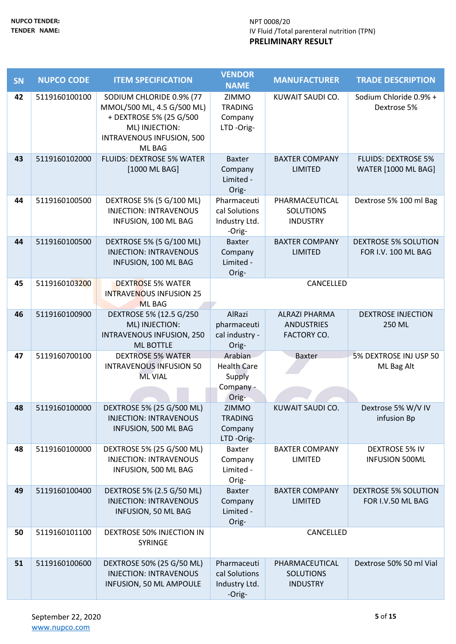| <b>SN</b> | <b>NUPCO CODE</b> | <b>ITEM SPECIFICATION</b>                                                                                                                  | <b>VENDOR</b>                                                 | <b>MANUFACTURER</b>                                             | <b>TRADE DESCRIPTION</b>                                 |
|-----------|-------------------|--------------------------------------------------------------------------------------------------------------------------------------------|---------------------------------------------------------------|-----------------------------------------------------------------|----------------------------------------------------------|
|           |                   |                                                                                                                                            | <b>NAME</b>                                                   |                                                                 |                                                          |
| 42        | 5119160100100     | SODIUM CHLORIDE 0.9% (77<br>MMOL/500 ML, 4.5 G/500 ML)<br>+ DEXTROSE 5% (25 G/500<br>ML) INJECTION:<br>INTRAVENOUS INFUSION, 500<br>ML BAG | ZIMMO<br><b>TRADING</b><br>Company<br>LTD-Orig-               | KUWAIT SAUDI CO.                                                | Sodium Chloride 0.9% +<br>Dextrose 5%                    |
| 43        | 5119160102000     | <b>FLUIDS: DEXTROSE 5% WATER</b><br>[1000 ML BAG]                                                                                          | <b>Baxter</b><br>Company<br>Limited -<br>Orig-                | <b>BAXTER COMPANY</b><br><b>LIMITED</b>                         | <b>FLUIDS: DEXTROSE 5%</b><br><b>WATER [1000 ML BAG]</b> |
| 44        | 5119160100500     | DEXTROSE 5% (5 G/100 ML)<br><b>INJECTION: INTRAVENOUS</b><br>INFUSION, 100 ML BAG                                                          | Pharmaceuti<br>cal Solutions<br>Industry Ltd.<br>-Orig-       | PHARMACEUTICAL<br><b>SOLUTIONS</b><br><b>INDUSTRY</b>           | Dextrose 5% 100 ml Bag                                   |
| 44        | 5119160100500     | DEXTROSE 5% (5 G/100 ML)<br><b>INJECTION: INTRAVENOUS</b><br>INFUSION, 100 ML BAG                                                          | <b>Baxter</b><br>Company<br>Limited -<br>Orig-                | <b>BAXTER COMPANY</b><br><b>LIMITED</b>                         | <b>DEXTROSE 5% SOLUTION</b><br>FOR I.V. 100 ML BAG       |
| 45        | 5119160103200     | <b>DEXTROSE 5% WATER</b><br><b>INTRAVENOUS INFUSION 25</b><br><b>ML BAG</b>                                                                |                                                               | CANCELLED                                                       |                                                          |
| 46        | 5119160100900     | DEXTROSE 5% (12.5 G/250<br>ML) INJECTION:<br><b>INTRAVENOUS INFUSION, 250</b><br><b>ML BOTTLE</b>                                          | AlRazi<br>pharmaceuti<br>cal industry -<br>Orig-              | <b>ALRAZI PHARMA</b><br><b>ANDUSTRIES</b><br><b>FACTORY CO.</b> | <b>DEXTROSE INJECTION</b><br>250 ML                      |
| 47        | 5119160700100     | <b>DEXTROSE 5% WATER</b><br><b>INTRAVENOUS INFUSION 50</b><br><b>ML VIAL</b>                                                               | Arabian<br><b>Health Care</b><br>Supply<br>Company -<br>Orig- | <b>Baxter</b>                                                   | 5% DEXTROSE INJ USP 50<br>ML Bag Alt                     |
| 48        | 5119160100000     | DEXTROSE 5% (25 G/500 ML)<br><b>INJECTION: INTRAVENOUS</b><br>INFUSION, 500 ML BAG                                                         | ZIMMO<br><b>TRADING</b><br>Company<br>LTD-Orig-               | KUWAIT SAUDI CO.                                                | Dextrose 5% W/V IV<br>infusion Bp                        |
| 48        | 5119160100000     | DEXTROSE 5% (25 G/500 ML)<br><b>INJECTION: INTRAVENOUS</b><br>INFUSION, 500 ML BAG                                                         | <b>Baxter</b><br>Company<br>Limited -<br>Orig-                | <b>BAXTER COMPANY</b><br>LIMITED                                | <b>DEXTROSE 5% IV</b><br><b>INFUSION 500ML</b>           |
| 49        | 5119160100400     | DEXTROSE 5% (2.5 G/50 ML)<br><b>INJECTION: INTRAVENOUS</b><br>INFUSION, 50 ML BAG                                                          | <b>Baxter</b><br>Company<br>Limited -<br>Orig-                | <b>BAXTER COMPANY</b><br><b>LIMITED</b>                         | <b>DEXTROSE 5% SOLUTION</b><br>FOR I.V.50 ML BAG         |
| 50        | 5119160101100     | <b>DEXTROSE 50% INJECTION IN</b><br><b>SYRINGE</b>                                                                                         |                                                               | CANCELLED                                                       |                                                          |
| 51        | 5119160100600     | DEXTROSE 50% (25 G/50 ML)<br><b>INJECTION: INTRAVENOUS</b><br>INFUSION, 50 ML AMPOULE                                                      | Pharmaceuti<br>cal Solutions<br>Industry Ltd.<br>-Orig-       | PHARMACEUTICAL<br><b>SOLUTIONS</b><br><b>INDUSTRY</b>           | Dextrose 50% 50 ml Vial                                  |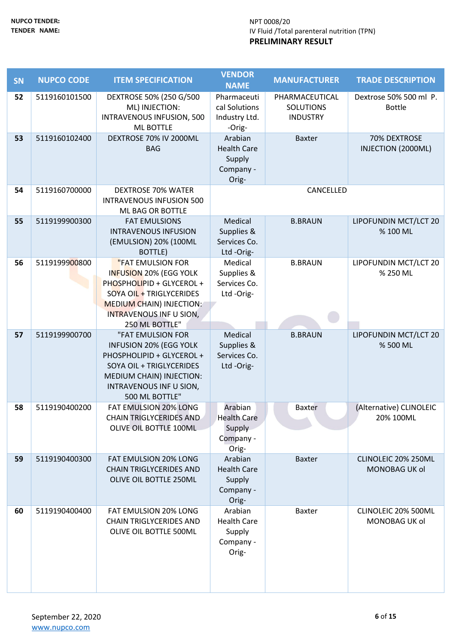| <b>SN</b> | <b>NUPCO CODE</b> | <b>ITEM SPECIFICATION</b>                 | <b>VENDOR</b>                | <b>MANUFACTURER</b> | <b>TRADE DESCRIPTION</b> |
|-----------|-------------------|-------------------------------------------|------------------------------|---------------------|--------------------------|
|           |                   |                                           | <b>NAME</b>                  |                     |                          |
| 52        | 5119160101500     | DEXTROSE 50% (250 G/500                   | Pharmaceuti                  | PHARMACEUTICAL      | Dextrose 50% 500 ml P.   |
|           |                   | ML) INJECTION:                            | cal Solutions                | <b>SOLUTIONS</b>    | <b>Bottle</b>            |
|           |                   | INTRAVENOUS INFUSION, 500                 | Industry Ltd.                | <b>INDUSTRY</b>     |                          |
|           |                   | <b>ML BOTTLE</b>                          | -Orig-                       |                     |                          |
| 53        | 5119160102400     | DEXTROSE 70% IV 2000ML                    | Arabian                      | <b>Baxter</b>       | 70% DEXTROSE             |
|           |                   | <b>BAG</b>                                | <b>Health Care</b><br>Supply |                     | INJECTION (2000ML)       |
|           |                   |                                           | Company -                    |                     |                          |
|           |                   |                                           | Orig-                        |                     |                          |
| 54        | 5119160700000     | <b>DEXTROSE 70% WATER</b>                 |                              | CANCELLED           |                          |
|           |                   | <b>INTRAVENOUS INFUSION 500</b>           |                              |                     |                          |
|           |                   | ML BAG OR BOTTLE                          |                              |                     |                          |
| 55        | 5119199900300     | <b>FAT EMULSIONS</b>                      | Medical                      | <b>B.BRAUN</b>      | LIPOFUNDIN MCT/LCT 20    |
|           |                   | <b>INTRAVENOUS INFUSION</b>               | Supplies &                   |                     | % 100 ML                 |
|           |                   | (EMULSION) 20% (100ML                     | Services Co.                 |                     |                          |
|           |                   | BOTTLE)                                   | Ltd-Orig-                    |                     |                          |
| 56        | 5119199900800     | "FAT EMULSION FOR                         | Medical                      | <b>B.BRAUN</b>      | LIPOFUNDIN MCT/LCT 20    |
|           |                   | INFUSION 20% (EGG YOLK                    | Supplies &                   |                     | % 250 ML                 |
|           |                   | PHOSPHOLIPID + GLYCEROL +                 | Services Co.                 |                     |                          |
|           |                   | SOYA OIL + TRIGLYCERIDES                  | Ltd-Orig-                    |                     |                          |
|           |                   | <b>MEDIUM CHAIN) INJECTION:</b>           |                              |                     |                          |
|           |                   | <b>INTRAVENOUS INF U SION,</b>            |                              |                     |                          |
|           |                   | 250 ML BOTTLE"                            |                              |                     |                          |
| 57        | 5119199900700     | "FAT EMULSION FOR                         | Medical                      | <b>B.BRAUN</b>      | LIPOFUNDIN MCT/LCT 20    |
|           |                   | <b>INFUSION 20% (EGG YOLK</b>             | Supplies &                   |                     | % 500 ML                 |
|           |                   | PHOSPHOLIPID + GLYCEROL +                 | Services Co.                 |                     |                          |
|           |                   | SOYA OIL + TRIGLYCERIDES                  | Ltd-Orig-                    |                     |                          |
|           |                   | MEDIUM CHAIN) INJECTION:                  |                              |                     |                          |
|           |                   | INTRAVENOUS INF U SION,<br>500 ML BOTTLE" |                              |                     |                          |
| 58        | 5119190400200     | <b>FAT EMULSION 20% LONG</b>              | Arabian                      | <b>Baxter</b>       | (Alternative) CLINOLEIC  |
|           |                   | <b>CHAIN TRIGLYCERIDES AND</b>            | <b>Health Care</b>           |                     | 20% 100ML                |
|           |                   | OLIVE OIL BOTTLE 100ML                    | Supply                       |                     |                          |
|           |                   |                                           | Company -                    |                     |                          |
|           |                   |                                           | Orig-                        |                     |                          |
| 59        | 5119190400300     | FAT EMULSION 20% LONG                     | Arabian                      | <b>Baxter</b>       | CLINOLEIC 20% 250ML      |
|           |                   | <b>CHAIN TRIGLYCERIDES AND</b>            | <b>Health Care</b>           |                     | <b>MONOBAG UK ol</b>     |
|           |                   | OLIVE OIL BOTTLE 250ML                    | Supply                       |                     |                          |
|           |                   |                                           | Company -                    |                     |                          |
|           |                   |                                           | Orig-                        |                     |                          |
| 60        | 5119190400400     | <b>FAT EMULSION 20% LONG</b>              | Arabian                      | <b>Baxter</b>       | CLINOLEIC 20% 500ML      |
|           |                   | <b>CHAIN TRIGLYCERIDES AND</b>            | <b>Health Care</b>           |                     | MONOBAG UK ol            |
|           |                   | OLIVE OIL BOTTLE 500ML                    | Supply                       |                     |                          |
|           |                   |                                           | Company -                    |                     |                          |
|           |                   |                                           | Orig-                        |                     |                          |
|           |                   |                                           |                              |                     |                          |
|           |                   |                                           |                              |                     |                          |
|           |                   |                                           |                              |                     |                          |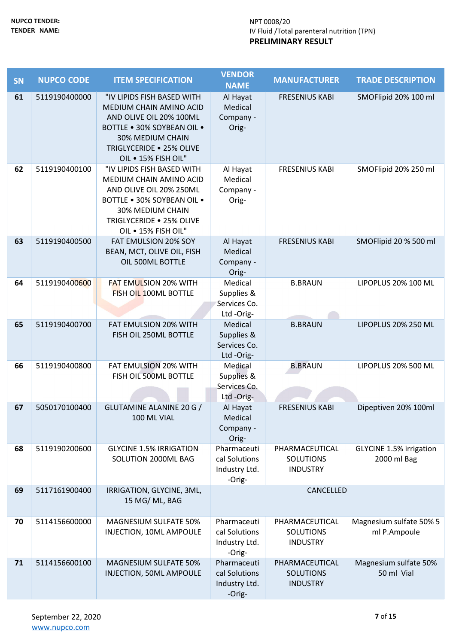| SN | <b>NUPCO CODE</b> | <b>ITEM SPECIFICATION</b>                                                                                                                                                                    | <b>VENDOR</b><br><b>NAME</b>                            | <b>MANUFACTURER</b>                                   | <b>TRADE DESCRIPTION</b>                      |
|----|-------------------|----------------------------------------------------------------------------------------------------------------------------------------------------------------------------------------------|---------------------------------------------------------|-------------------------------------------------------|-----------------------------------------------|
| 61 | 5119190400000     | "IV LIPIDS FISH BASED WITH<br>MEDIUM CHAIN AMINO ACID<br>AND OLIVE OIL 20% 100ML<br><b>BOTTLE . 30% SOYBEAN OIL .</b><br>30% MEDIUM CHAIN<br>TRIGLYCERIDE . 25% OLIVE<br>OIL . 15% FISH OIL" | Al Hayat<br>Medical<br>Company -<br>Orig-               | <b>FRESENIUS KABI</b>                                 | SMOFlipid 20% 100 ml                          |
| 62 | 5119190400100     | "IV LIPIDS FISH BASED WITH<br>MEDIUM CHAIN AMINO ACID<br>AND OLIVE OIL 20% 250ML<br>BOTTLE . 30% SOYBEAN OIL .<br>30% MEDIUM CHAIN<br>TRIGLYCERIDE . 25% OLIVE<br>OIL . 15% FISH OIL"        | Al Hayat<br>Medical<br>Company -<br>Orig-               | <b>FRESENIUS KABI</b>                                 | SMOFlipid 20% 250 ml                          |
| 63 | 5119190400500     | FAT EMULSION 20% SOY<br>BEAN, MCT, OLIVE OIL, FISH<br>OIL 500ML BOTTLE                                                                                                                       | Al Hayat<br>Medical<br>Company -<br>Orig-               | <b>FRESENIUS KABI</b>                                 | SMOFlipid 20 % 500 ml                         |
| 64 | 5119190400600     | <b>FAT EMULSION 20% WITH</b><br>FISH OIL 100ML BOTTLE                                                                                                                                        | Medical<br>Supplies &<br>Services Co.<br>Ltd-Orig-      | <b>B.BRAUN</b>                                        | LIPOPLUS 20% 100 ML                           |
| 65 | 5119190400700     | <b>FAT EMULSION 20% WITH</b><br>FISH OIL 250ML BOTTLE                                                                                                                                        | Medical<br>Supplies &<br>Services Co.<br>Ltd-Orig-      | <b>B.BRAUN</b>                                        | LIPOPLUS 20% 250 ML                           |
| 66 | 5119190400800     | FAT EMULSION 20% WITH<br>FISH OIL 500ML BOTTLE                                                                                                                                               | Medical<br>Supplies &<br>Services Co.<br>Ltd-Orig-      | <b>B.BRAUN</b>                                        | LIPOPLUS 20% 500 ML                           |
| 67 | 5050170100400     | GLUTAMINE ALANINE 20 G /<br>100 ML VIAL                                                                                                                                                      | Al Hayat<br>Medical<br>Company -<br>Orig-               | <b>FRESENIUS KABI</b>                                 | Dipeptiven 20% 100ml                          |
| 68 | 5119190200600     | <b>GLYCINE 1.5% IRRIGATION</b><br>SOLUTION 2000ML BAG                                                                                                                                        | Pharmaceuti<br>cal Solutions<br>Industry Ltd.<br>-Orig- | PHARMACEUTICAL<br><b>SOLUTIONS</b><br><b>INDUSTRY</b> | <b>GLYCINE 1.5% irrigation</b><br>2000 ml Bag |
| 69 | 5117161900400     | IRRIGATION, GLYCINE, 3ML,<br>15 MG/ML, BAG                                                                                                                                                   |                                                         | CANCELLED                                             |                                               |
| 70 | 5114156600000     | MAGNESIUM SULFATE 50%<br>INJECTION, 10ML AMPOULE                                                                                                                                             | Pharmaceuti<br>cal Solutions<br>Industry Ltd.<br>-Orig- | PHARMACEUTICAL<br><b>SOLUTIONS</b><br><b>INDUSTRY</b> | Magnesium sulfate 50% 5<br>ml P.Ampoule       |
| 71 | 5114156600100     | <b>MAGNESIUM SULFATE 50%</b><br>INJECTION, 50ML AMPOULE                                                                                                                                      | Pharmaceuti<br>cal Solutions<br>Industry Ltd.<br>-Orig- | PHARMACEUTICAL<br><b>SOLUTIONS</b><br><b>INDUSTRY</b> | Magnesium sulfate 50%<br>50 ml Vial           |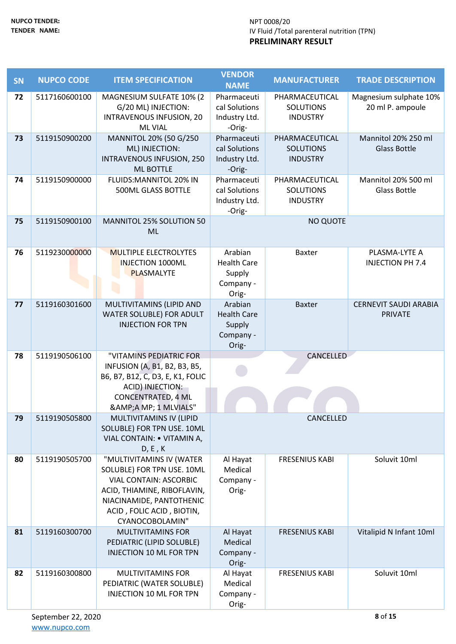| SN | <b>NUPCO CODE</b> | <b>ITEM SPECIFICATION</b>                                                                                                                                                                          | <b>VENDOR</b><br><b>NAME</b>                                  | <b>MANUFACTURER</b>                                   | <b>TRADE DESCRIPTION</b>                       |
|----|-------------------|----------------------------------------------------------------------------------------------------------------------------------------------------------------------------------------------------|---------------------------------------------------------------|-------------------------------------------------------|------------------------------------------------|
| 72 | 5117160600100     | MAGNESIUM SULFATE 10% (2<br>G/20 ML) INJECTION:<br>INTRAVENOUS INFUSION, 20<br><b>ML VIAL</b>                                                                                                      | Pharmaceuti<br>cal Solutions<br>Industry Ltd.<br>-Orig-       | PHARMACEUTICAL<br><b>SOLUTIONS</b><br><b>INDUSTRY</b> | Magnesium sulphate 10%<br>20 ml P. ampoule     |
| 73 | 5119150900200     | MANNITOL 20% (50 G/250<br>ML) INJECTION:<br><b>INTRAVENOUS INFUSION, 250</b><br><b>ML BOTTLE</b>                                                                                                   | Pharmaceuti<br>cal Solutions<br>Industry Ltd.<br>-Orig-       | PHARMACEUTICAL<br><b>SOLUTIONS</b><br><b>INDUSTRY</b> | Mannitol 20% 250 ml<br><b>Glass Bottle</b>     |
| 74 | 5119150900000     | FLUIDS: MANNITOL 20% IN<br>500ML GLASS BOTTLE                                                                                                                                                      | Pharmaceuti<br>cal Solutions<br>Industry Ltd.<br>-Orig-       | PHARMACEUTICAL<br><b>SOLUTIONS</b><br><b>INDUSTRY</b> | Mannitol 20% 500 ml<br>Glass Bottle            |
| 75 | 5119150900100     | MANNITOL 25% SOLUTION 50<br>ML                                                                                                                                                                     |                                                               | <b>NO QUOTE</b>                                       |                                                |
| 76 | 5119230000000     | <b>MULTIPLE ELECTROLYTES</b><br><b>INJECTION 1000ML</b><br><b>PLASMALYTE</b>                                                                                                                       | Arabian<br><b>Health Care</b><br>Supply<br>Company -<br>Orig- | <b>Baxter</b>                                         | PLASMA-LYTE A<br><b>INJECTION PH 7.4</b>       |
| 77 | 5119160301600     | MULTIVITAMINS (LIPID AND<br>WATER SOLUBLE) FOR ADULT<br><b>INJECTION FOR TPN</b>                                                                                                                   | Arabian<br><b>Health Care</b><br>Supply<br>Company -<br>Orig- | <b>Baxter</b>                                         | <b>CERNEVIT SAUDI ARABIA</b><br><b>PRIVATE</b> |
| 78 | 5119190506100     | "VITAMINS PEDIATRIC FOR<br>INFUSION (A, B1, B2, B3, B5,<br>B6, B7, B12, C, D3, E, K1, FOLIC<br>ACID) INJECTION:<br><b>CONCENTRATED, 4 ML</b><br>&A MP; 1 MLVIALS"                                  |                                                               | CANCELLED                                             |                                                |
| 79 | 5119190505800     | MULTIVITAMINS IV (LIPID<br>SOLUBLE) FOR TPN USE. 10ML<br>VIAL CONTAIN: . VITAMIN A,<br>D, E, K                                                                                                     |                                                               | CANCELLED                                             |                                                |
| 80 | 5119190505700     | "MULTIVITAMINS IV (WATER<br>SOLUBLE) FOR TPN USE. 10ML<br><b>VIAL CONTAIN: ASCORBIC</b><br>ACID, THIAMINE, RIBOFLAVIN,<br>NIACINAMIDE, PANTOTHENIC<br>ACID, FOLIC ACID, BIOTIN,<br>CYANOCOBOLAMIN" | Al Hayat<br>Medical<br>Company -<br>Orig-                     | <b>FRESENIUS KABI</b>                                 | Soluvit 10ml                                   |
| 81 | 5119160300700     | <b>MULTIVITAMINS FOR</b><br>PEDIATRIC (LIPID SOLUBLE)<br><b>INJECTION 10 ML FOR TPN</b>                                                                                                            | Al Hayat<br>Medical<br>Company -<br>Orig-                     | <b>FRESENIUS KABI</b>                                 | Vitalipid N Infant 10ml                        |
| 82 | 5119160300800     | MULTIVITAMINS FOR<br>PEDIATRIC (WATER SOLUBLE)<br><b>INJECTION 10 ML FOR TPN</b>                                                                                                                   | Al Hayat<br>Medical<br>Company -<br>Orig-                     | <b>FRESENIUS KABI</b>                                 | Soluvit 10ml                                   |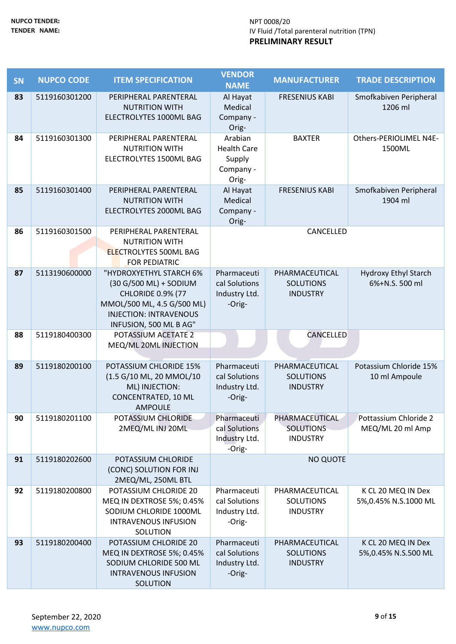| <b>SN</b> | <b>NUPCO CODE</b> | <b>ITEM SPECIFICATION</b>                              | <b>VENDOR</b><br><b>NAME</b>   | <b>MANUFACTURER</b>                 | <b>TRADE DESCRIPTION</b>    |
|-----------|-------------------|--------------------------------------------------------|--------------------------------|-------------------------------------|-----------------------------|
| 83        | 5119160301200     | PERIPHERAL PARENTERAL                                  | Al Hayat                       | <b>FRESENIUS KABI</b>               | Smofkabiven Peripheral      |
|           |                   | <b>NUTRITION WITH</b>                                  | Medical                        |                                     | 1206 ml                     |
|           |                   | ELECTROLYTES 1000ML BAG                                | Company -<br>Orig-             |                                     |                             |
| 84        | 5119160301300     | PERIPHERAL PARENTERAL                                  | Arabian                        | <b>BAXTER</b>                       | Others-PERIOLIMEL N4E-      |
|           |                   | <b>NUTRITION WITH</b>                                  | <b>Health Care</b>             |                                     | 1500ML                      |
|           |                   | ELECTROLYTES 1500ML BAG                                | Supply                         |                                     |                             |
|           |                   |                                                        | Company -<br>Orig-             |                                     |                             |
| 85        | 5119160301400     | PERIPHERAL PARENTERAL                                  | Al Hayat                       | <b>FRESENIUS KABI</b>               | Smofkabiven Peripheral      |
|           |                   | <b>NUTRITION WITH</b>                                  | Medical                        |                                     | 1904 ml                     |
|           |                   | ELECTROLYTES 2000ML BAG                                | Company -<br>Orig-             |                                     |                             |
| 86        | 5119160301500     | PERIPHERAL PARENTERAL                                  |                                | CANCELLED                           |                             |
|           |                   | <b>NUTRITION WITH</b>                                  |                                |                                     |                             |
|           |                   | <b>ELECTROLYTES 500ML BAG</b><br>FOR PEDIATRIC         |                                |                                     |                             |
| 87        | 5113190600000     | "HYDROXYETHYL STARCH 6%                                | Pharmaceuti                    | PHARMACEUTICAL                      | <b>Hydroxy Ethyl Starch</b> |
|           |                   | (30 G/500 ML) + SODIUM                                 | cal Solutions                  | <b>SOLUTIONS</b>                    | 6%+N.S. 500 ml              |
|           |                   | <b>CHLORIDE 0.9% (77</b><br>MMOL/500 ML, 4.5 G/500 ML) | Industry Ltd.<br>-Orig-        | <b>INDUSTRY</b>                     |                             |
|           |                   | <b>INJECTION: INTRAVENOUS</b>                          |                                |                                     |                             |
|           |                   | INFUSION, 500 ML B AG"                                 |                                |                                     |                             |
| 88        | 5119180400300     | POTASSIUM ACETATE 2<br>MEQ/ML 20ML INJECTION           |                                | CANCELLED                           |                             |
|           |                   |                                                        |                                |                                     |                             |
| 89        | 5119180200100     | POTASSIUM CHLORIDE 15%<br>(1.5 G/10 ML, 20 MMOL/10     | Pharmaceuti<br>cal Solutions   | PHARMACEUTICAL                      | Potassium Chloride 15%      |
|           |                   | ML) INJECTION:                                         | Industry Ltd.                  | <b>SOLUTIONS</b><br><b>INDUSTRY</b> | 10 ml Ampoule               |
|           |                   | CONCENTRATED, 10 ML                                    | -Orig-                         |                                     |                             |
|           |                   | <b>AMPOULE</b>                                         |                                |                                     | Pottassium Chloride 2       |
| 90        | 5119180201100     | POTASSIUM CHLORIDE                                     | Pharmaceuti                    |                                     |                             |
|           |                   |                                                        |                                | PHARMACEUTICAL                      |                             |
|           |                   | 2MEQ/ML INJ 20ML                                       | cal Solutions<br>Industry Ltd. | <b>SOLUTIONS</b><br><b>INDUSTRY</b> | MEQ/ML 20 ml Amp            |
|           |                   |                                                        | -Orig-                         |                                     |                             |
| 91        | 5119180202600     | POTASSIUM CHLORIDE                                     |                                | <b>NO QUOTE</b>                     |                             |
|           |                   | (CONC) SOLUTION FOR INJ<br>2MEQ/ML, 250ML BTL          |                                |                                     |                             |
| 92        | 5119180200800     | POTASSIUM CHLORIDE 20                                  | Pharmaceuti                    | PHARMACEUTICAL                      | K CL 20 MEQ IN Dex          |
|           |                   | MEQ IN DEXTROSE 5%; 0.45%<br>SODIUM CHLORIDE 1000ML    | cal Solutions                  | <b>SOLUTIONS</b>                    | 5%,0.45% N.S.1000 ML        |
|           |                   | <b>INTRAVENOUS INFUSION</b>                            | Industry Ltd.<br>-Orig-        | <b>INDUSTRY</b>                     |                             |
|           |                   | SOLUTION                                               |                                |                                     |                             |
| 93        | 5119180200400     | POTASSIUM CHLORIDE 20                                  | Pharmaceuti<br>cal Solutions   | PHARMACEUTICAL                      | K CL 20 MEQ IN Dex          |
|           |                   | MEQ IN DEXTROSE 5%; 0.45%<br>SODIUM CHLORIDE 500 ML    | Industry Ltd.                  | <b>SOLUTIONS</b><br><b>INDUSTRY</b> | 5%,0.45% N.S.500 ML         |
|           |                   | <b>INTRAVENOUS INFUSION</b><br>SOLUTION                | -Orig-                         |                                     |                             |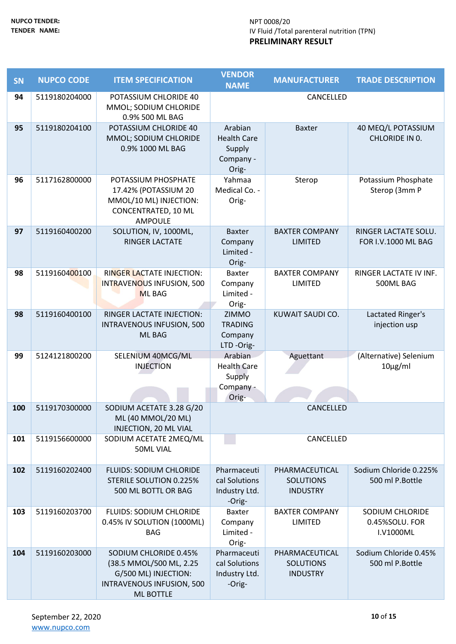| <b>SN</b> | <b>NUPCO CODE</b> | <b>ITEM SPECIFICATION</b>                                                                                                 | <b>VENDOR</b><br><b>NAME</b>                                  | <b>MANUFACTURER</b>                                   | <b>TRADE DESCRIPTION</b>                       |
|-----------|-------------------|---------------------------------------------------------------------------------------------------------------------------|---------------------------------------------------------------|-------------------------------------------------------|------------------------------------------------|
| 94        | 5119180204000     | POTASSIUM CHLORIDE 40<br>MMOL; SODIUM CHLORIDE<br>0.9% 500 ML BAG                                                         |                                                               | CANCELLED                                             |                                                |
| 95        | 5119180204100     | POTASSIUM CHLORIDE 40<br>MMOL; SODIUM CHLORIDE<br>0.9% 1000 ML BAG                                                        | Arabian<br><b>Health Care</b><br>Supply<br>Company -<br>Orig- | <b>Baxter</b>                                         | 40 MEQ/L POTASSIUM<br>CHLORIDE IN 0.           |
| 96        | 5117162800000     | POTASSIUM PHOSPHATE<br>17.42% (POTASSIUM 20<br>MMOL/10 ML) INJECTION:<br>CONCENTRATED, 10 ML<br>AMPOULE                   | Yahmaa<br>Medical Co. -<br>Orig-                              | Sterop                                                | Potassium Phosphate<br>Sterop (3mm P           |
| 97        | 5119160400200     | SOLUTION, IV, 1000ML,<br><b>RINGER LACTATE</b>                                                                            | <b>Baxter</b><br>Company<br>Limited -<br>Orig-                | <b>BAXTER COMPANY</b><br><b>LIMITED</b>               | RINGER LACTATE SOLU.<br>FOR I.V.1000 ML BAG    |
| 98        | 5119160400100     | <b>RINGER LACTATE INJECTION:</b><br>INTRAVENOUS INFUSION, 500<br><b>ML BAG</b>                                            | <b>Baxter</b><br>Company<br>Limited -<br>Orig-                | <b>BAXTER COMPANY</b><br>LIMITED                      | RINGER LACTATE IV INF.<br>500ML BAG            |
| 98        | 5119160400100     | RINGER LACTATE INJECTION:<br>INTRAVENOUS INFUSION, 500<br>ML BAG                                                          | ZIMMO<br><b>TRADING</b><br>Company<br>LTD-Orig-               | KUWAIT SAUDI CO.                                      | Lactated Ringer's<br>injection usp             |
| 99        | 5124121800200     | SELENIUM 40MCG/ML<br><b>INJECTION</b>                                                                                     | Arabian<br><b>Health Care</b><br>Supply<br>Company -<br>Orig- | Aguettant                                             | (Alternative) Selenium<br>$10\mu g/ml$         |
| 100       | 5119170300000     | SODIUM ACETATE 3.28 G/20<br>ML (40 MMOL/20 ML)<br>INJECTION, 20 ML VIAL                                                   |                                                               | CANCELLED                                             |                                                |
| 101       | 5119156600000     | SODIUM ACETATE 2MEQ/ML<br><b>50ML VIAL</b>                                                                                |                                                               | CANCELLED                                             |                                                |
| 102       | 5119160202400     | <b>FLUIDS: SODIUM CHLORIDE</b><br><b>STERILE SOLUTION 0.225%</b><br>500 ML BOTTL OR BAG                                   | Pharmaceuti<br>cal Solutions<br>Industry Ltd.<br>-Orig-       | PHARMACEUTICAL<br><b>SOLUTIONS</b><br><b>INDUSTRY</b> | Sodium Chloride 0.225%<br>500 ml P.Bottle      |
| 103       | 5119160203700     | <b>FLUIDS: SODIUM CHLORIDE</b><br>0.45% IV SOLUTION (1000ML)<br><b>BAG</b>                                                | <b>Baxter</b><br>Company<br>Limited -<br>Orig-                | <b>BAXTER COMPANY</b><br><b>LIMITED</b>               | SODIUM CHLORIDE<br>0.45%SOLU. FOR<br>I.V1000ML |
| 104       | 5119160203000     | SODIUM CHLORIDE 0.45%<br>(38.5 MMOL/500 ML, 2.25<br>G/500 ML) INJECTION:<br>INTRAVENOUS INFUSION, 500<br><b>ML BOTTLE</b> | Pharmaceuti<br>cal Solutions<br>Industry Ltd.<br>-Orig-       | PHARMACEUTICAL<br><b>SOLUTIONS</b><br><b>INDUSTRY</b> | Sodium Chloride 0.45%<br>500 ml P.Bottle       |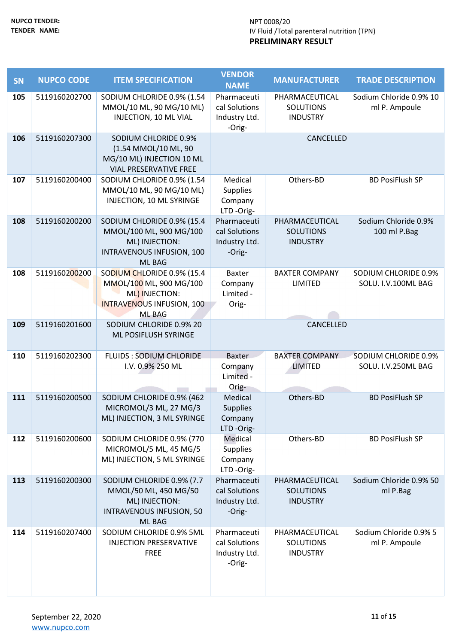| <b>SN</b> | <b>NUPCO CODE</b> | <b>ITEM SPECIFICATION</b>                                                                                                    | <b>VENDOR</b><br><b>NAME</b>                            | <b>MANUFACTURER</b>                                   | <b>TRADE DESCRIPTION</b>                           |
|-----------|-------------------|------------------------------------------------------------------------------------------------------------------------------|---------------------------------------------------------|-------------------------------------------------------|----------------------------------------------------|
| 105       | 5119160202700     | SODIUM CHLORIDE 0.9% (1.54<br>MMOL/10 ML, 90 MG/10 ML)<br>INJECTION, 10 ML VIAL                                              | Pharmaceuti<br>cal Solutions<br>Industry Ltd.<br>-Orig- | PHARMACEUTICAL<br><b>SOLUTIONS</b><br><b>INDUSTRY</b> | Sodium Chloride 0.9% 10<br>ml P. Ampoule           |
| 106       | 5119160207300     | SODIUM CHLORIDE 0.9%<br>(1.54 MMOL/10 ML, 90<br>MG/10 ML) INJECTION 10 ML<br><b>VIAL PRESERVATIVE FREE</b>                   |                                                         | CANCELLED                                             |                                                    |
| 107       | 5119160200400     | SODIUM CHLORIDE 0.9% (1.54<br>MMOL/10 ML, 90 MG/10 ML)<br>INJECTION, 10 ML SYRINGE                                           | Medical<br><b>Supplies</b><br>Company<br>LTD-Orig-      | Others-BD                                             | <b>BD PosiFlush SP</b>                             |
| 108       | 5119160200200     | SODIUM CHLORIDE 0.9% (15.4<br>MMOL/100 ML, 900 MG/100<br>ML) INJECTION:<br>INTRAVENOUS INFUSION, 100<br><b>ML BAG</b>        | Pharmaceuti<br>cal Solutions<br>Industry Ltd.<br>-Orig- | PHARMACEUTICAL<br><b>SOLUTIONS</b><br><b>INDUSTRY</b> | Sodium Chloride 0.9%<br>100 ml P.Bag               |
| 108       | 5119160200200     | SODIUM CHLORIDE 0.9% (15.4<br>MMOL/100 ML, 900 MG/100<br>ML) INJECTION:<br><b>INTRAVENOUS INFUSION, 100</b><br><b>ML BAG</b> | Baxter<br>Company<br>Limited -<br>Orig-                 | <b>BAXTER COMPANY</b><br><b>LIMITED</b>               | SODIUM CHLORIDE 0.9%<br>SOLU. I.V.100ML BAG        |
| 109       | 5119160201600     | SODIUM CHLORIDE 0.9% 20<br>ML POSIFLUSH SYRINGE                                                                              |                                                         | CANCELLED                                             |                                                    |
| 110       | 5119160202300     | <b>FLUIDS: SODIUM CHLORIDE</b><br>I.V. 0.9% 250 ML                                                                           | <b>Baxter</b><br>Company<br>Limited -<br>Orig-          | <b>BAXTER COMPANY</b><br><b>LIMITED</b>               | <b>SODIUM CHLORIDE 0.9%</b><br>SOLU. I.V.250ML BAG |
| 111       | 5119160200500     | SODIUM CHLORIDE 0.9% (462<br>MICROMOL/3 ML, 27 MG/3<br>ML) INJECTION, 3 ML SYRINGE                                           | Medical<br><b>Supplies</b><br>Company<br>LTD-Orig-      | Others-BD                                             | <b>BD PosiFlush SP</b>                             |
| 112       | 5119160200600     | SODIUM CHLORIDE 0.9% (770<br>MICROMOL/5 ML, 45 MG/5<br>ML) INJECTION, 5 ML SYRINGE                                           | Medical<br><b>Supplies</b><br>Company<br>LTD-Orig-      | Others-BD                                             | <b>BD PosiFlush SP</b>                             |
| 113       | 5119160200300     | SODIUM CHLORIDE 0.9% (7.7<br>MMOL/50 ML, 450 MG/50<br>ML) INJECTION:<br>INTRAVENOUS INFUSION, 50<br><b>ML BAG</b>            | Pharmaceuti<br>cal Solutions<br>Industry Ltd.<br>-Orig- | PHARMACEUTICAL<br><b>SOLUTIONS</b><br><b>INDUSTRY</b> | Sodium Chloride 0.9% 50<br>ml P.Bag                |
| 114       | 5119160207400     | SODIUM CHLORIDE 0.9% 5ML<br><b>INJECTION PRESERVATIVE</b><br><b>FREE</b>                                                     | Pharmaceuti<br>cal Solutions<br>Industry Ltd.<br>-Orig- | PHARMACEUTICAL<br><b>SOLUTIONS</b><br><b>INDUSTRY</b> | Sodium Chloride 0.9% 5<br>ml P. Ampoule            |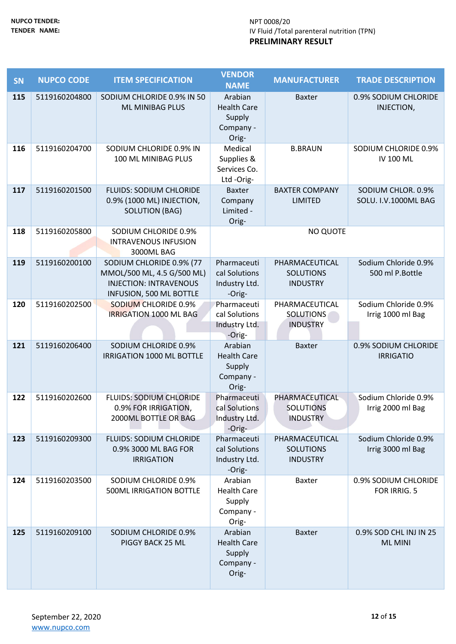| <b>SN</b> | <b>NUPCO CODE</b> | <b>ITEM SPECIFICATION</b>                                   | <b>VENDOR</b>                  | <b>MANUFACTURER</b>                 | <b>TRADE DESCRIPTION</b>                  |
|-----------|-------------------|-------------------------------------------------------------|--------------------------------|-------------------------------------|-------------------------------------------|
|           |                   |                                                             | <b>NAME</b>                    |                                     |                                           |
| 115       | 5119160204800     | SODIUM CHLORIDE 0.9% IN 50<br><b>ML MINIBAG PLUS</b>        | Arabian<br><b>Health Care</b>  | <b>Baxter</b>                       | 0.9% SODIUM CHLORIDE<br>INJECTION,        |
|           |                   |                                                             | Supply                         |                                     |                                           |
|           |                   |                                                             | Company -                      |                                     |                                           |
|           |                   |                                                             | Orig-                          |                                     |                                           |
| 116       | 5119160204700     | SODIUM CHLORIDE 0.9% IN                                     | Medical                        | <b>B.BRAUN</b>                      | SODIUM CHLORIDE 0.9%                      |
|           |                   | 100 ML MINIBAG PLUS                                         | Supplies &                     |                                     | <b>IV 100 ML</b>                          |
|           |                   |                                                             | Services Co.                   |                                     |                                           |
| 117       | 5119160201500     | <b>FLUIDS: SODIUM CHLORIDE</b>                              | Ltd-Orig-<br><b>Baxter</b>     | <b>BAXTER COMPANY</b>               | SODIUM CHLOR. 0.9%                        |
|           |                   | 0.9% (1000 ML) INJECTION,                                   | Company                        | <b>LIMITED</b>                      | SOLU. I.V.1000ML BAG                      |
|           |                   | <b>SOLUTION (BAG)</b>                                       | Limited -                      |                                     |                                           |
|           |                   |                                                             | Orig-                          |                                     |                                           |
| 118       | 5119160205800     | SODIUM CHLORIDE 0.9%                                        |                                | <b>NO QUOTE</b>                     |                                           |
|           |                   | <b>INTRAVENOUS INFUSION</b>                                 |                                |                                     |                                           |
|           |                   | 3000ML BAG                                                  |                                |                                     |                                           |
| 119       | 5119160200100     | SODIUM CHLORIDE 0.9% (77                                    | Pharmaceuti                    | PHARMACEUTICAL                      | Sodium Chloride 0.9%                      |
|           |                   | MMOL/500 ML, 4.5 G/500 ML)<br><b>INJECTION: INTRAVENOUS</b> | cal Solutions<br>Industry Ltd. | <b>SOLUTIONS</b><br><b>INDUSTRY</b> | 500 ml P.Bottle                           |
|           |                   | <b>INFUSION, 500 ML BOTTLE</b>                              | -Orig-                         |                                     |                                           |
| 120       | 5119160202500     | <b>SODIUM CHLORIDE 0.9%</b>                                 | Pharmaceuti                    | PHARMACEUTICAL                      | Sodium Chloride 0.9%                      |
|           |                   | <b>IRRIGATION 1000 ML BAG</b>                               | cal Solutions                  | <b>SOLUTIONS</b>                    | Irrig 1000 ml Bag                         |
|           |                   |                                                             | Industry Ltd.                  | <b>INDUSTRY</b>                     |                                           |
|           |                   |                                                             | -Orig-                         |                                     |                                           |
| 121       | 5119160206400     | SODIUM CHLORIDE 0.9%                                        | Arabian                        | <b>Baxter</b>                       | 0.9% SODIUM CHLORIDE                      |
|           |                   | IRRIGATION 1000 ML BOTTLE                                   | <b>Health Care</b><br>Supply   |                                     | <b>IRRIGATIO</b>                          |
|           |                   |                                                             | Company -                      |                                     |                                           |
|           |                   |                                                             | Orig-                          |                                     |                                           |
| 122       | 5119160202600     | <b>FLUIDS: SODIUM CHLORIDE</b>                              | Pharmaceuti                    | PHARMACEUTICAL                      | Sodium Chloride 0.9%                      |
|           |                   | 0.9% FOR IRRIGATION,                                        | cal Solutions                  | <b>SOLUTIONS</b>                    | Irrig 2000 ml Bag                         |
|           |                   | 2000ML BOTTLE OR BAG                                        | Industry Ltd.                  | <b>INDUSTRY</b>                     |                                           |
|           |                   |                                                             | -Orig-                         |                                     |                                           |
| 123       | 5119160209300     | <b>FLUIDS: SODIUM CHLORIDE</b><br>0.9% 3000 ML BAG FOR      | Pharmaceuti<br>cal Solutions   | PHARMACEUTICAL<br><b>SOLUTIONS</b>  | Sodium Chloride 0.9%<br>Irrig 3000 ml Bag |
|           |                   | <b>IRRIGATION</b>                                           | Industry Ltd.                  | <b>INDUSTRY</b>                     |                                           |
|           |                   |                                                             | -Orig-                         |                                     |                                           |
| 124       | 5119160203500     | SODIUM CHLORIDE 0.9%                                        | Arabian                        | <b>Baxter</b>                       | 0.9% SODIUM CHLORIDE                      |
|           |                   | <b>500ML IRRIGATION BOTTLE</b>                              | <b>Health Care</b>             |                                     | FOR IRRIG. 5                              |
|           |                   |                                                             | Supply                         |                                     |                                           |
|           |                   |                                                             | Company -                      |                                     |                                           |
| 125       | 5119160209100     | SODIUM CHLORIDE 0.9%                                        | Orig-<br>Arabian               | <b>Baxter</b>                       | 0.9% SOD CHL INJ IN 25                    |
|           |                   | PIGGY BACK 25 ML                                            | <b>Health Care</b>             |                                     | <b>ML MINI</b>                            |
|           |                   |                                                             | Supply                         |                                     |                                           |
|           |                   |                                                             | Company -                      |                                     |                                           |
|           |                   |                                                             | Orig-                          |                                     |                                           |
|           |                   |                                                             |                                |                                     |                                           |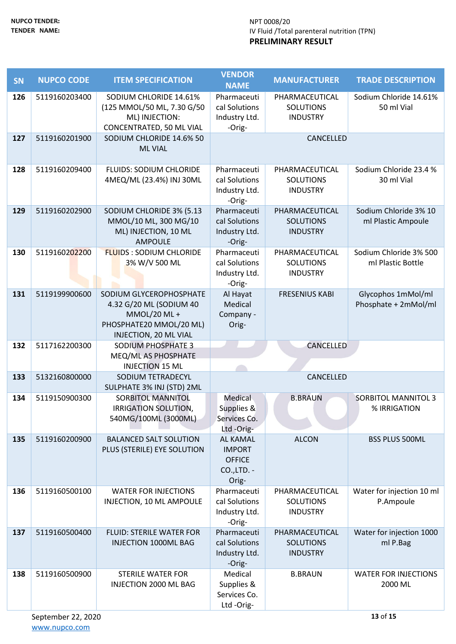| <b>SN</b> | <b>NUPCO CODE</b>              | <b>ITEM SPECIFICATION</b>                                                                                              | <b>VENDOR</b><br><b>NAME</b>                                              | <b>MANUFACTURER</b>                                   | <b>TRADE DESCRIPTION</b>                    |  |  |
|-----------|--------------------------------|------------------------------------------------------------------------------------------------------------------------|---------------------------------------------------------------------------|-------------------------------------------------------|---------------------------------------------|--|--|
| 126       | 5119160203400                  | SODIUM CHLORIDE 14.61%<br>(125 MMOL/50 ML, 7.30 G/50<br>ML) INJECTION:<br>CONCENTRATED, 50 ML VIAL                     | Pharmaceuti<br>cal Solutions<br>Industry Ltd.<br>-Orig-                   | PHARMACEUTICAL<br><b>SOLUTIONS</b><br><b>INDUSTRY</b> | Sodium Chloride 14.61%<br>50 ml Vial        |  |  |
| 127       | 5119160201900                  | SODIUM CHLORIDE 14.6% 50<br><b>ML VIAL</b>                                                                             | CANCELLED                                                                 |                                                       |                                             |  |  |
| 128       | 5119160209400                  | <b>FLUIDS: SODIUM CHLORIDE</b><br>4MEQ/ML (23.4%) INJ 30ML                                                             | Pharmaceuti<br>cal Solutions<br>Industry Ltd.<br>-Orig-                   | PHARMACEUTICAL<br><b>SOLUTIONS</b><br><b>INDUSTRY</b> | Sodium Chloride 23.4 %<br>30 ml Vial        |  |  |
| 129       | 5119160202900                  | SODIUM CHLORIDE 3% (5.13<br>MMOL/10 ML, 300 MG/10<br>ML) INJECTION, 10 ML<br><b>AMPOULE</b>                            | Pharmaceuti<br>cal Solutions<br>Industry Ltd.<br>-Orig-                   | PHARMACEUTICAL<br><b>SOLUTIONS</b><br><b>INDUSTRY</b> | Sodium Chloride 3% 10<br>ml Plastic Ampoule |  |  |
| 130       | 5119160202200                  | <b>FLUIDS: SODIUM CHLORIDE</b><br>3% W/V 500 ML                                                                        | Pharmaceuti<br>cal Solutions<br>Industry Ltd.<br>-Orig-                   | PHARMACEUTICAL<br><b>SOLUTIONS</b><br><b>INDUSTRY</b> | Sodium Chloride 3% 500<br>ml Plastic Bottle |  |  |
| 131       | 5119199900600                  | SODIUM GLYCEROPHOSPHATE<br>4.32 G/20 ML (SODIUM 40<br>MMOL/20 ML +<br>PHOSPHATE20 MMOL/20 ML)<br>INJECTION, 20 ML VIAL | Al Hayat<br>Medical<br>Company -<br>Orig-                                 | <b>FRESENIUS KABI</b>                                 | Glycophos 1mMol/ml<br>Phosphate + 2mMol/ml  |  |  |
| 132       | 5117162200300                  | SODIUM PHOSPHATE 3<br>MEQ/ML AS PHOSPHATE<br><b>INJECTION 15 ML</b>                                                    |                                                                           | CANCELLED                                             |                                             |  |  |
| 133       | 5132160800000                  | SODIUM TETRADECYL<br>SULPHATE 3% INJ (STD) 2ML                                                                         |                                                                           | CANCELLED                                             |                                             |  |  |
| 134       | 5119150900300                  | <b>SORBITOL MANNITOL</b><br>IRRIGATION SOLUTION,<br>540MG/100ML (3000ML)                                               | Medical<br>Supplies &<br>Services Co.<br>Ltd-Orig-                        | <b>B.BRAUN</b>                                        | <b>SORBITOL MANNITOL 3</b><br>% IRRIGATION  |  |  |
| 135       | 5119160200900                  | <b>BALANCED SALT SOLUTION</b><br>PLUS (STERILE) EYE SOLUTION                                                           | <b>AL KAMAL</b><br><b>IMPORT</b><br><b>OFFICE</b><br>CO., LTD. -<br>Orig- | <b>ALCON</b>                                          | BSS PLUS 500ML                              |  |  |
| 136       | 5119160500100                  | <b>WATER FOR INJECTIONS</b><br>INJECTION, 10 ML AMPOULE                                                                | Pharmaceuti<br>cal Solutions<br>Industry Ltd.<br>-Orig-                   | PHARMACEUTICAL<br><b>SOLUTIONS</b><br><b>INDUSTRY</b> | Water for injection 10 ml<br>P.Ampoule      |  |  |
| 137       | 5119160500400                  | <b>FLUID: STERILE WATER FOR</b><br>INJECTION 1000ML BAG                                                                | Pharmaceuti<br>cal Solutions<br>Industry Ltd.<br>-Orig-                   | PHARMACEUTICAL<br><b>SOLUTIONS</b><br><b>INDUSTRY</b> | Water for injection 1000<br>ml P.Bag        |  |  |
| 138       | 5119160500900                  | <b>STERILE WATER FOR</b><br>INJECTION 2000 ML BAG                                                                      | Medical<br>Supplies &<br>Services Co.<br>Ltd-Orig-                        | <b>B.BRAUN</b>                                        | <b>WATER FOR INJECTIONS</b><br>2000 ML      |  |  |
|           | 13 of 15<br>September 22, 2020 |                                                                                                                        |                                                                           |                                                       |                                             |  |  |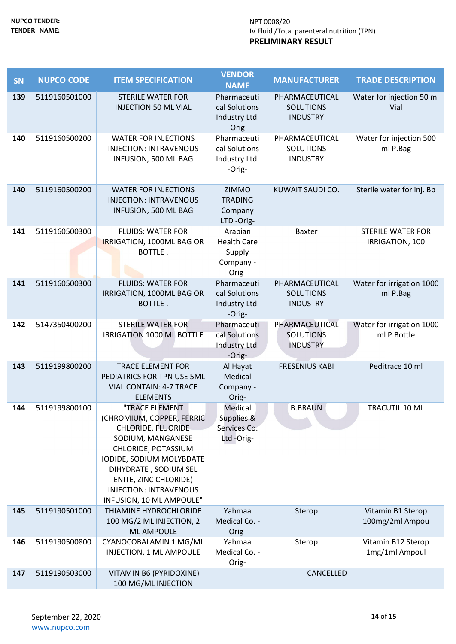| SN  | <b>NUPCO CODE</b> | <b>ITEM SPECIFICATION</b>                                                                                                                                                                                                                                              | <b>VENDOR</b><br><b>NAME</b>                                  | <b>MANUFACTURER</b>                                   | <b>TRADE DESCRIPTION</b>                    |
|-----|-------------------|------------------------------------------------------------------------------------------------------------------------------------------------------------------------------------------------------------------------------------------------------------------------|---------------------------------------------------------------|-------------------------------------------------------|---------------------------------------------|
| 139 | 5119160501000     | <b>STERILE WATER FOR</b><br><b>INJECTION 50 ML VIAL</b>                                                                                                                                                                                                                | Pharmaceuti<br>cal Solutions                                  | PHARMACEUTICAL<br><b>SOLUTIONS</b>                    | Water for injection 50 ml<br>Vial           |
|     |                   |                                                                                                                                                                                                                                                                        | Industry Ltd.<br>-Orig-                                       | <b>INDUSTRY</b>                                       |                                             |
| 140 | 5119160500200     | <b>WATER FOR INJECTIONS</b><br><b>INJECTION: INTRAVENOUS</b><br>INFUSION, 500 ML BAG                                                                                                                                                                                   | Pharmaceuti<br>cal Solutions<br>Industry Ltd.<br>-Orig-       | PHARMACEUTICAL<br><b>SOLUTIONS</b><br><b>INDUSTRY</b> | Water for injection 500<br>ml P.Bag         |
| 140 | 5119160500200     | <b>WATER FOR INJECTIONS</b><br><b>INJECTION: INTRAVENOUS</b><br>INFUSION, 500 ML BAG                                                                                                                                                                                   | ZIMMO<br><b>TRADING</b><br>Company<br>LTD-Orig-               | KUWAIT SAUDI CO.                                      | Sterile water for inj. Bp                   |
| 141 | 5119160500300     | <b>FLUIDS: WATER FOR</b><br>IRRIGATION, 1000ML BAG OR<br>BOTTLE.                                                                                                                                                                                                       | Arabian<br><b>Health Care</b><br>Supply<br>Company -<br>Orig- | <b>Baxter</b>                                         | <b>STERILE WATER FOR</b><br>IRRIGATION, 100 |
| 141 | 5119160500300     | <b>FLUIDS: WATER FOR</b><br>IRRIGATION, 1000ML BAG OR<br>BOTTLE.                                                                                                                                                                                                       | Pharmaceuti<br>cal Solutions<br>Industry Ltd.<br>-Orig-       | PHARMACEUTICAL<br><b>SOLUTIONS</b><br><b>INDUSTRY</b> | Water for irrigation 1000<br>ml P.Bag       |
| 142 | 5147350400200     | <b>STERILE WATER FOR</b><br>IRRIGATION 1000 ML BOTTLE                                                                                                                                                                                                                  | Pharmaceuti<br>cal Solutions<br>Industry Ltd.<br>-Orig-       | PHARMACEUTICAL<br><b>SOLUTIONS</b><br><b>INDUSTRY</b> | Water for irrigation 1000<br>ml P.Bottle    |
| 143 | 5119199800200     | <b>TRACE ELEMENT FOR</b><br>PEDIATRICS FOR TPN USE 5ML<br><b>VIAL CONTAIN: 4-7 TRACE</b><br><b>ELEMENTS</b>                                                                                                                                                            | Al Hayat<br>Medical<br>Company -<br>Orig-                     | <b>FRESENIUS KABI</b>                                 | Peditrace 10 ml                             |
| 144 | 5119199800100     | "TRACE ELEMENT<br>(CHROMIUM, COPPER, FERRIC<br><b>CHLORIDE, FLUORIDE</b><br>SODIUM, MANGANESE<br>CHLORIDE, POTASSIUM<br>IODIDE, SODIUM MOLYBDATE<br>DIHYDRATE, SODIUM SEL<br><b>ENITE, ZINC CHLORIDE)</b><br><b>INJECTION: INTRAVENOUS</b><br>INFUSION, 10 ML AMPOULE" | Medical<br>Supplies &<br>Services Co.<br>Ltd-Orig-            | <b>B.BRAUN</b>                                        | TRACUTIL 10 ML                              |
| 145 | 5119190501000     | THIAMINE HYDROCHLORIDE<br>100 MG/2 ML INJECTION, 2<br><b>ML AMPOULE</b>                                                                                                                                                                                                | Yahmaa<br>Medical Co. -<br>Orig-                              | Sterop                                                | Vitamin B1 Sterop<br>100mg/2ml Ampou        |
| 146 | 5119190500800     | CYANOCOBALAMIN 1 MG/ML<br>INJECTION, 1 ML AMPOULE                                                                                                                                                                                                                      | Yahmaa<br>Medical Co. -<br>Orig-                              | Sterop                                                | Vitamin B12 Sterop<br>1mg/1ml Ampoul        |
| 147 | 5119190503000     | VITAMIN B6 (PYRIDOXINE)<br>100 MG/ML INJECTION                                                                                                                                                                                                                         | CANCELLED                                                     |                                                       |                                             |